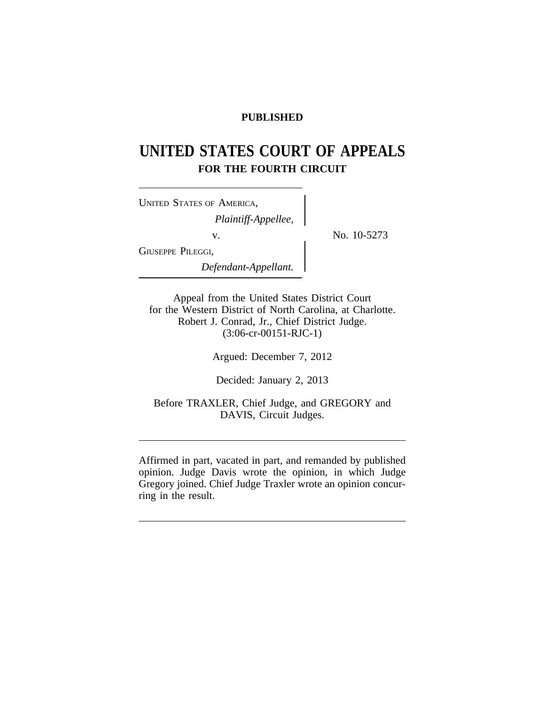## **PUBLISHED**

# **UNITED STATES COURT OF APPEALS FOR THE FOURTH CIRCUIT**

No. 10-5273

| <b>UNITED STATES OF AMERICA,</b> |  |
|----------------------------------|--|
| Plaintiff-Appellee,              |  |
| V.                               |  |
| GIUSEPPE PILEGGI,                |  |
| Defendant-Appellant.             |  |

Appeal from the United States District Court for the Western District of North Carolina, at Charlotte. Robert J. Conrad, Jr., Chief District Judge. (3:06-cr-00151-RJC-1)

Argued: December 7, 2012

Decided: January 2, 2013

Before TRAXLER, Chief Judge, and GREGORY and DAVIS, Circuit Judges.

Affirmed in part, vacated in part, and remanded by published opinion. Judge Davis wrote the opinion, in which Judge Gregory joined. Chief Judge Traxler wrote an opinion concurring in the result.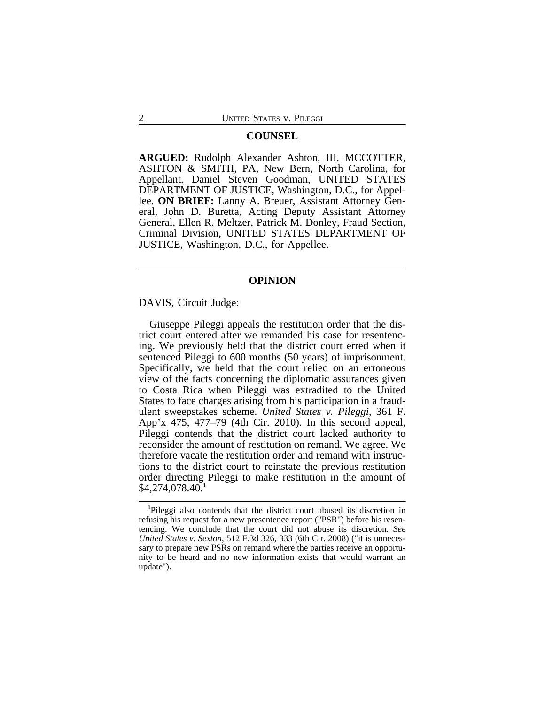### **COUNSEL**

**ARGUED:** Rudolph Alexander Ashton, III, MCCOTTER, ASHTON & SMITH, PA, New Bern, North Carolina, for Appellant. Daniel Steven Goodman, UNITED STATES DEPARTMENT OF JUSTICE, Washington, D.C., for Appellee. **ON BRIEF:** Lanny A. Breuer, Assistant Attorney General, John D. Buretta, Acting Deputy Assistant Attorney General, Ellen R. Meltzer, Patrick M. Donley, Fraud Section, Criminal Division, UNITED STATES DEPARTMENT OF JUSTICE, Washington, D.C., for Appellee.

### **OPINION**

DAVIS, Circuit Judge:

Giuseppe Pileggi appeals the restitution order that the district court entered after we remanded his case for resentencing. We previously held that the district court erred when it sentenced Pileggi to 600 months (50 years) of imprisonment. Specifically, we held that the court relied on an erroneous view of the facts concerning the diplomatic assurances given to Costa Rica when Pileggi was extradited to the United States to face charges arising from his participation in a fraudulent sweepstakes scheme. *United States v. Pileggi*, 361 F. App'x 475, 477–79 (4th Cir. 2010). In this second appeal, Pileggi contends that the district court lacked authority to reconsider the amount of restitution on remand. We agree. We therefore vacate the restitution order and remand with instructions to the district court to reinstate the previous restitution order directing Pileggi to make restitution in the amount of \$4,274,078.40.**<sup>1</sup>**

**<sup>1</sup>**Pileggi also contends that the district court abused its discretion in refusing his request for a new presentence report ("PSR") before his resentencing. We conclude that the court did not abuse its discretion. *See United States v. Sexton*, 512 F.3d 326, 333 (6th Cir. 2008) ("it is unnecessary to prepare new PSRs on remand where the parties receive an opportunity to be heard and no new information exists that would warrant an update").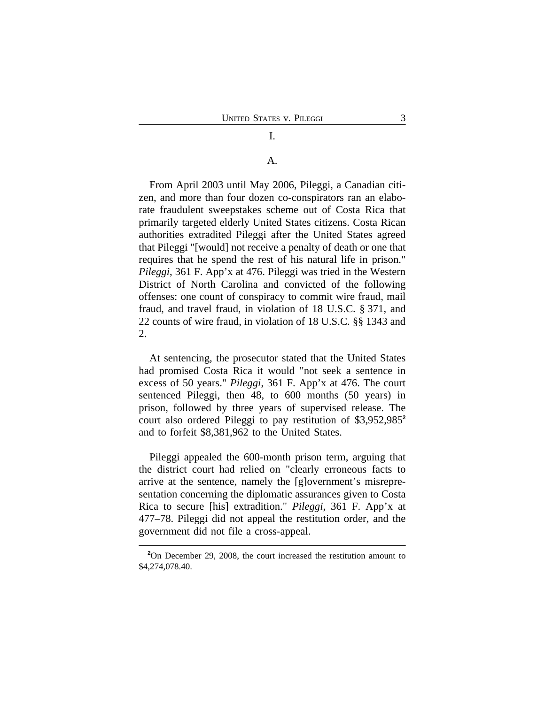## I.

### A.

From April 2003 until May 2006, Pileggi, a Canadian citizen, and more than four dozen co-conspirators ran an elaborate fraudulent sweepstakes scheme out of Costa Rica that primarily targeted elderly United States citizens. Costa Rican authorities extradited Pileggi after the United States agreed that Pileggi "[would] not receive a penalty of death or one that requires that he spend the rest of his natural life in prison." *Pileggi*, 361 F. App'x at 476. Pileggi was tried in the Western District of North Carolina and convicted of the following offenses: one count of conspiracy to commit wire fraud, mail fraud, and travel fraud, in violation of 18 U.S.C. § 371, and 22 counts of wire fraud, in violation of 18 U.S.C. §§ 1343 and 2.

At sentencing, the prosecutor stated that the United States had promised Costa Rica it would "not seek a sentence in excess of 50 years." *Pileggi*, 361 F. App'x at 476. The court sentenced Pileggi, then 48, to 600 months (50 years) in prison, followed by three years of supervised release. The court also ordered Pileggi to pay restitution of \$3,952,985**<sup>2</sup>** and to forfeit \$8,381,962 to the United States.

Pileggi appealed the 600-month prison term, arguing that the district court had relied on "clearly erroneous facts to arrive at the sentence, namely the [g]overnment's misrepresentation concerning the diplomatic assurances given to Costa Rica to secure [his] extradition." *Pileggi*, 361 F. App'x at 477–78. Pileggi did not appeal the restitution order, and the government did not file a cross-appeal.

**<sup>2</sup>**On December 29, 2008, the court increased the restitution amount to \$4,274,078.40.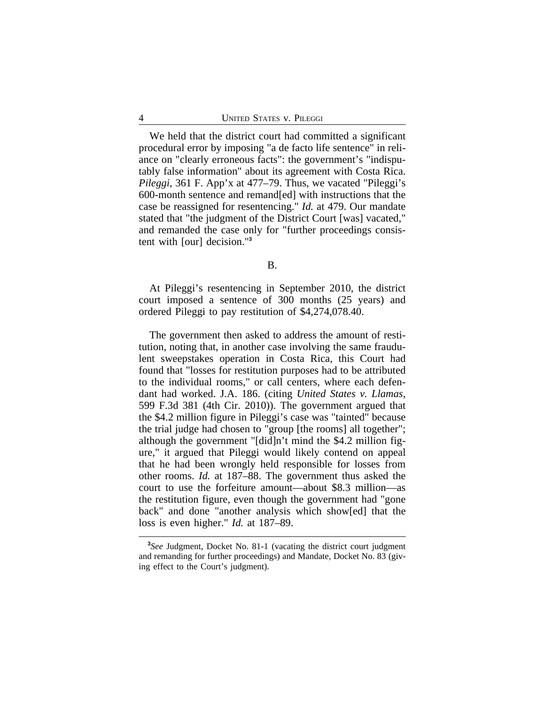We held that the district court had committed a significant procedural error by imposing "a de facto life sentence" in reliance on "clearly erroneous facts": the government's "indisputably false information" about its agreement with Costa Rica. *Pileggi*, 361 F. App'x at 477–79. Thus, we vacated "Pileggi's 600-month sentence and remand[ed] with instructions that the case be reassigned for resentencing." *Id.* at 479. Our mandate stated that "the judgment of the District Court [was] vacated," and remanded the case only for "further proceedings consistent with [our] decision."**<sup>3</sup>**

B.

At Pileggi's resentencing in September 2010, the district court imposed a sentence of 300 months (25 years) and ordered Pileggi to pay restitution of \$4,274,078.40.

The government then asked to address the amount of restitution, noting that, in another case involving the same fraudulent sweepstakes operation in Costa Rica, this Court had found that "losses for restitution purposes had to be attributed to the individual rooms," or call centers, where each defendant had worked. J.A. 186. (citing *United States v. Llamas*, 599 F.3d 381 (4th Cir. 2010)). The government argued that the \$4.2 million figure in Pileggi's case was "tainted" because the trial judge had chosen to "group [the rooms] all together"; although the government "[did]n't mind the \$4.2 million figure," it argued that Pileggi would likely contend on appeal that he had been wrongly held responsible for losses from other rooms. *Id.* at 187–88. The government thus asked the court to use the forfeiture amount—about \$8.3 million—as the restitution figure, even though the government had "gone back" and done "another analysis which show[ed] that the loss is even higher." *Id.* at 187–89.

**<sup>3</sup>** *See* Judgment, Docket No. 81-1 (vacating the district court judgment and remanding for further proceedings) and Mandate, Docket No. 83 (giving effect to the Court's judgment).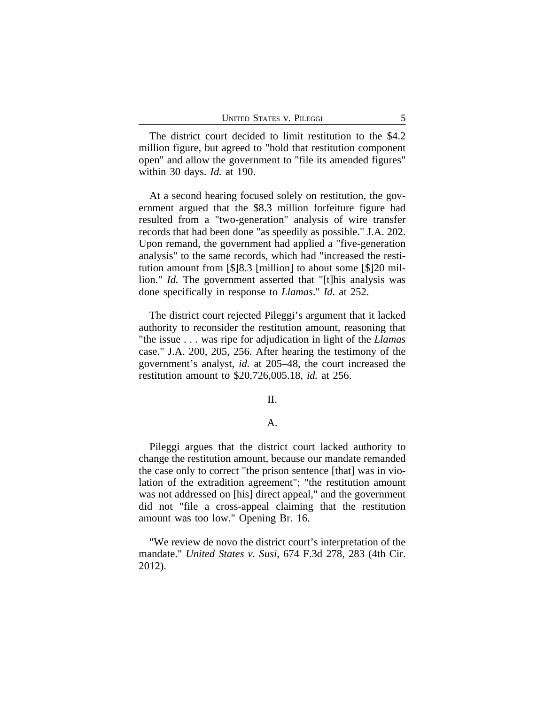The district court decided to limit restitution to the \$4.2 million figure, but agreed to "hold that restitution component open" and allow the government to "file its amended figures" within 30 days. *Id.* at 190.

At a second hearing focused solely on restitution, the government argued that the \$8.3 million forfeiture figure had resulted from a "two-generation" analysis of wire transfer records that had been done "as speedily as possible." J.A. 202. Upon remand, the government had applied a "five-generation analysis" to the same records, which had "increased the restitution amount from [\$]8.3 [million] to about some [\$]20 million." *Id.* The government asserted that "[t]his analysis was done specifically in response to *Llamas*." *Id.* at 252.

The district court rejected Pileggi's argument that it lacked authority to reconsider the restitution amount, reasoning that "the issue . . . was ripe for adjudication in light of the *Llamas* case." J.A. 200, 205, 256. After hearing the testimony of the government's analyst, *id.* at 205–48, the court increased the restitution amount to \$20,726,005.18, *id.* at 256.

### II.

### A.

Pileggi argues that the district court lacked authority to change the restitution amount, because our mandate remanded the case only to correct "the prison sentence [that] was in violation of the extradition agreement"; "the restitution amount was not addressed on [his] direct appeal," and the government did not "file a cross-appeal claiming that the restitution amount was too low." Opening Br. 16.

"We review de novo the district court's interpretation of the mandate." *United States v. Susi*, 674 F.3d 278, 283 (4th Cir. 2012).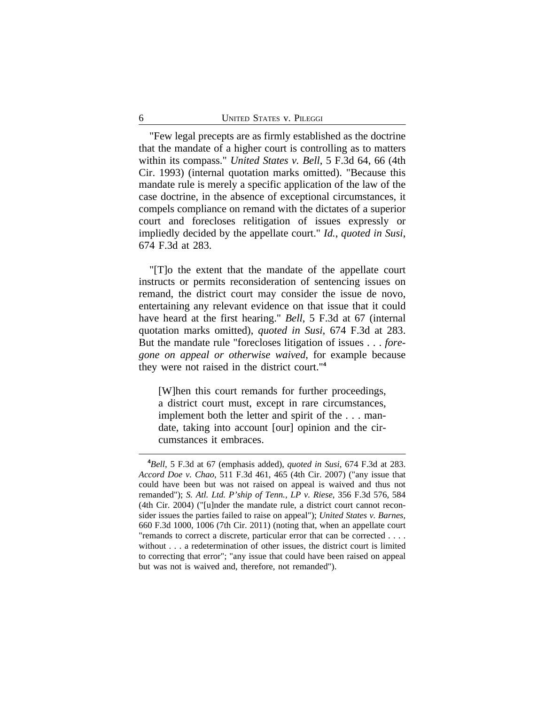"Few legal precepts are as firmly established as the doctrine that the mandate of a higher court is controlling as to matters within its compass." *United States v. Bell*, 5 F.3d 64, 66 (4th Cir. 1993) (internal quotation marks omitted). "Because this mandate rule is merely a specific application of the law of the case doctrine, in the absence of exceptional circumstances, it compels compliance on remand with the dictates of a superior court and forecloses relitigation of issues expressly or impliedly decided by the appellate court." *Id.*, *quoted in Susi*, 674 F.3d at 283.

"[T]o the extent that the mandate of the appellate court instructs or permits reconsideration of sentencing issues on remand, the district court may consider the issue de novo, entertaining any relevant evidence on that issue that it could have heard at the first hearing." *Bell*, 5 F.3d at 67 (internal quotation marks omitted), *quoted in Susi*, 674 F.3d at 283. But the mandate rule "forecloses litigation of issues . . . *foregone on appeal or otherwise waived*, for example because they were not raised in the district court."**<sup>4</sup>**

[W]hen this court remands for further proceedings, a district court must, except in rare circumstances, implement both the letter and spirit of the . . . mandate, taking into account [our] opinion and the circumstances it embraces.

**<sup>4</sup>***Bell*, 5 F.3d at 67 (emphasis added), *quoted in Susi*, 674 F.3d at 283. *Accord Doe v. Chao*, 511 F.3d 461, 465 (4th Cir. 2007) ("any issue that could have been but was not raised on appeal is waived and thus not remanded"); *S. Atl. Ltd. P'ship of Tenn., LP v. Riese*, 356 F.3d 576, 584 (4th Cir. 2004) ("[u]nder the mandate rule, a district court cannot reconsider issues the parties failed to raise on appeal"); *United States v. Barnes*, 660 F.3d 1000, 1006 (7th Cir. 2011) (noting that, when an appellate court "remands to correct a discrete, particular error that can be corrected . . . . without . . . a redetermination of other issues, the district court is limited to correcting that error"; "any issue that could have been raised on appeal but was not is waived and, therefore, not remanded").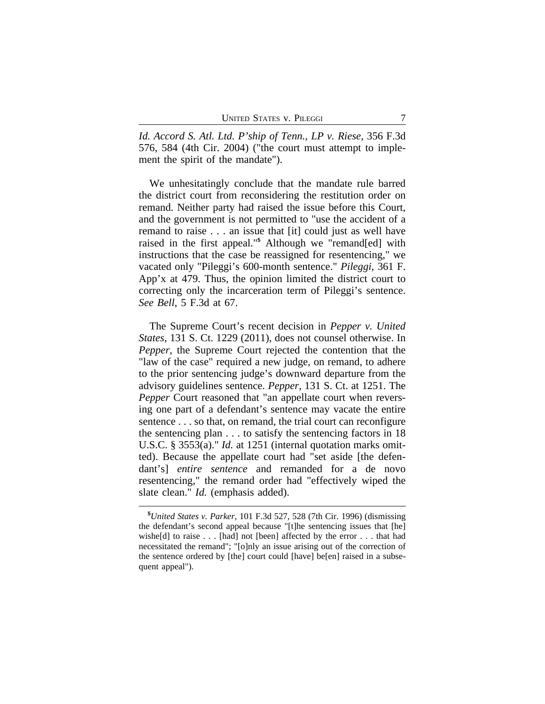*Id. Accord S. Atl. Ltd. P'ship of Tenn., LP v. Riese*, 356 F.3d 576, 584 (4th Cir. 2004) ("the court must attempt to implement the spirit of the mandate").

We unhesitatingly conclude that the mandate rule barred the district court from reconsidering the restitution order on remand. Neither party had raised the issue before this Court, and the government is not permitted to "use the accident of a remand to raise . . . an issue that [it] could just as well have raised in the first appeal."**<sup>5</sup>** Although we "remand[ed] with instructions that the case be reassigned for resentencing," we vacated only "Pileggi's 600-month sentence." *Pileggi*, 361 F. App'x at 479. Thus, the opinion limited the district court to correcting only the incarceration term of Pileggi's sentence. *See Bell*, 5 F.3d at 67.

The Supreme Court's recent decision in *Pepper v. United States*, 131 S. Ct. 1229 (2011), does not counsel otherwise. In *Pepper*, the Supreme Court rejected the contention that the "law of the case" required a new judge, on remand, to adhere to the prior sentencing judge's downward departure from the advisory guidelines sentence. *Pepper*, 131 S. Ct. at 1251. The *Pepper* Court reasoned that "an appellate court when reversing one part of a defendant's sentence may vacate the entire sentence . . . so that, on remand, the trial court can reconfigure the sentencing plan . . . to satisfy the sentencing factors in 18 U.S.C. § 3553(a)." *Id.* at 1251 (internal quotation marks omitted). Because the appellate court had "set aside [the defendant's] *entire sentence* and remanded for a de novo resentencing," the remand order had "effectively wiped the slate clean." *Id.* (emphasis added).

**<sup>5</sup>***United States v. Parker*, 101 F.3d 527, 528 (7th Cir. 1996) (dismissing the defendant's second appeal because "[t]he sentencing issues that [he] wishe[d] to raise . . . [had] not [been] affected by the error . . . that had necessitated the remand"; "[o]nly an issue arising out of the correction of the sentence ordered by [the] court could [have] be[en] raised in a subsequent appeal").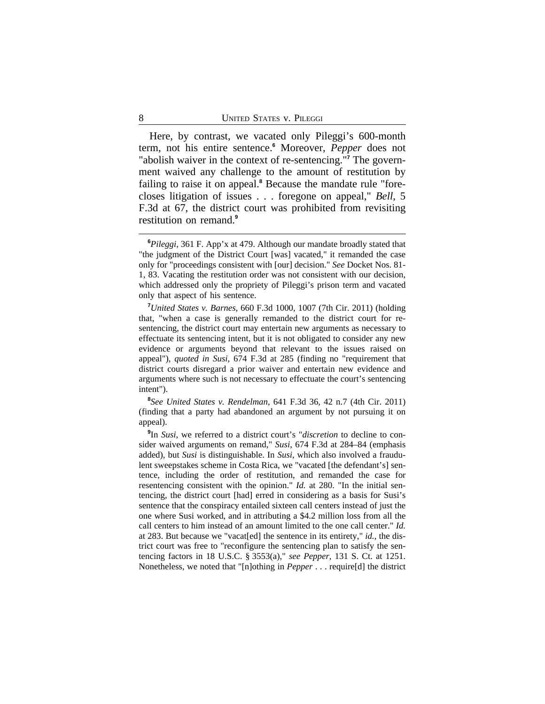Here, by contrast, we vacated only Pileggi's 600-month term, not his entire sentence.**<sup>6</sup>** Moreover, *Pepper* does not "abolish waiver in the context of re-sentencing."<sup>7</sup> The government waived any challenge to the amount of restitution by failing to raise it on appeal.<sup>8</sup> Because the mandate rule "forecloses litigation of issues . . . foregone on appeal," *Bell*, 5 F.3d at 67, the district court was prohibited from revisiting restitution on remand.**<sup>9</sup>**

**8** *See United States v. Rendelman*, 641 F.3d 36, 42 n.7 (4th Cir. 2011) (finding that a party had abandoned an argument by not pursuing it on appeal).

**9** In *Susi*, we referred to a district court's "*discretion* to decline to consider waived arguments on remand," *Susi*, 674 F.3d at 284–84 (emphasis added), but *Susi* is distinguishable. In *Susi*, which also involved a fraudulent sweepstakes scheme in Costa Rica, we "vacated [the defendant's] sentence, including the order of restitution, and remanded the case for resentencing consistent with the opinion." *Id.* at 280. "In the initial sentencing, the district court [had] erred in considering as a basis for Susi's sentence that the conspiracy entailed sixteen call centers instead of just the one where Susi worked, and in attributing a \$4.2 million loss from all the call centers to him instead of an amount limited to the one call center." *Id.* at 283. But because we "vacat[ed] the sentence in its entirety," *id.*, the district court was free to "reconfigure the sentencing plan to satisfy the sentencing factors in 18 U.S.C. § 3553(a)," *see Pepper*, 131 S. Ct. at 1251. Nonetheless, we noted that "[n]othing in *Pepper* . . . require[d] the district

**<sup>6</sup>***Pileggi*, 361 F. App'x at 479. Although our mandate broadly stated that "the judgment of the District Court [was] vacated," it remanded the case only for "proceedings consistent with [our] decision." *See* Docket Nos. 81- 1, 83. Vacating the restitution order was not consistent with our decision, which addressed only the propriety of Pileggi's prison term and vacated only that aspect of his sentence.

**<sup>7</sup>***United States v. Barnes*, 660 F.3d 1000, 1007 (7th Cir. 2011) (holding that, "when a case is generally remanded to the district court for resentencing, the district court may entertain new arguments as necessary to effectuate its sentencing intent, but it is not obligated to consider any new evidence or arguments beyond that relevant to the issues raised on appeal"), *quoted in Susi*, 674 F.3d at 285 (finding no "requirement that district courts disregard a prior waiver and entertain new evidence and arguments where such is not necessary to effectuate the court's sentencing intent").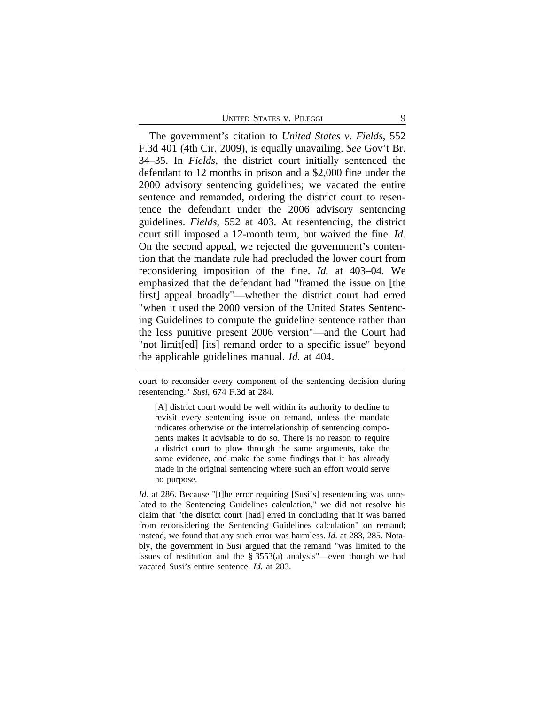UNITED STATES V. PILEGGI 9

The government's citation to *United States v. Fields*, 552 F.3d 401 (4th Cir. 2009), is equally unavailing. *See* Gov't Br. 34–35. In *Fields*, the district court initially sentenced the defendant to 12 months in prison and a \$2,000 fine under the 2000 advisory sentencing guidelines; we vacated the entire sentence and remanded, ordering the district court to resentence the defendant under the 2006 advisory sentencing guidelines. *Fields*, 552 at 403. At resentencing, the district court still imposed a 12-month term, but waived the fine. *Id.* On the second appeal, we rejected the government's contention that the mandate rule had precluded the lower court from reconsidering imposition of the fine. *Id.* at 403–04. We emphasized that the defendant had "framed the issue on [the first] appeal broadly"—whether the district court had erred "when it used the 2000 version of the United States Sentencing Guidelines to compute the guideline sentence rather than the less punitive present 2006 version"—and the Court had "not limit[ed] [its] remand order to a specific issue" beyond the applicable guidelines manual. *Id.* at 404.

court to reconsider every component of the sentencing decision during resentencing." *Susi*, 674 F.3d at 284.

[A] district court would be well within its authority to decline to revisit every sentencing issue on remand, unless the mandate indicates otherwise or the interrelationship of sentencing components makes it advisable to do so. There is no reason to require a district court to plow through the same arguments, take the same evidence, and make the same findings that it has already made in the original sentencing where such an effort would serve no purpose.

*Id.* at 286. Because "[t]he error requiring [Susi's] resentencing was unrelated to the Sentencing Guidelines calculation," we did not resolve his claim that "the district court [had] erred in concluding that it was barred from reconsidering the Sentencing Guidelines calculation" on remand; instead, we found that any such error was harmless. *Id.* at 283, 285. Notably, the government in *Susi* argued that the remand "was limited to the issues of restitution and the § 3553(a) analysis"—even though we had vacated Susi's entire sentence. *Id.* at 283.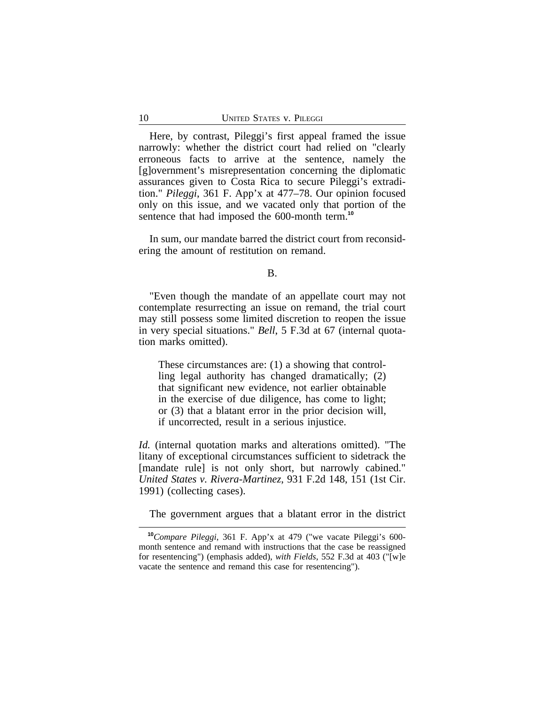Here, by contrast, Pileggi's first appeal framed the issue narrowly: whether the district court had relied on "clearly erroneous facts to arrive at the sentence, namely the [g]overnment's misrepresentation concerning the diplomatic assurances given to Costa Rica to secure Pileggi's extradition." *Pileggi*, 361 F. App'x at 477–78. Our opinion focused only on this issue, and we vacated only that portion of the sentence that had imposed the 600-month term.**<sup>10</sup>**

In sum, our mandate barred the district court from reconsidering the amount of restitution on remand.

"Even though the mandate of an appellate court may not contemplate resurrecting an issue on remand, the trial court may still possess some limited discretion to reopen the issue in very special situations." *Bell*, 5 F.3d at 67 (internal quotation marks omitted).

These circumstances are: (1) a showing that controlling legal authority has changed dramatically; (2) that significant new evidence, not earlier obtainable in the exercise of due diligence, has come to light; or (3) that a blatant error in the prior decision will, if uncorrected, result in a serious injustice.

*Id.* (internal quotation marks and alterations omitted). "The litany of exceptional circumstances sufficient to sidetrack the [mandate rule] is not only short, but narrowly cabined." *United States v. Rivera-Martinez*, 931 F.2d 148, 151 (1st Cir. 1991) (collecting cases).

The government argues that a blatant error in the district

B.

**<sup>10</sup>***Compare Pileggi*, 361 F. App'x at 479 ("we vacate Pileggi's 600 month sentence and remand with instructions that the case be reassigned for resentencing") (emphasis added), *with Fields*, 552 F.3d at 403 ("[w]e vacate the sentence and remand this case for resentencing").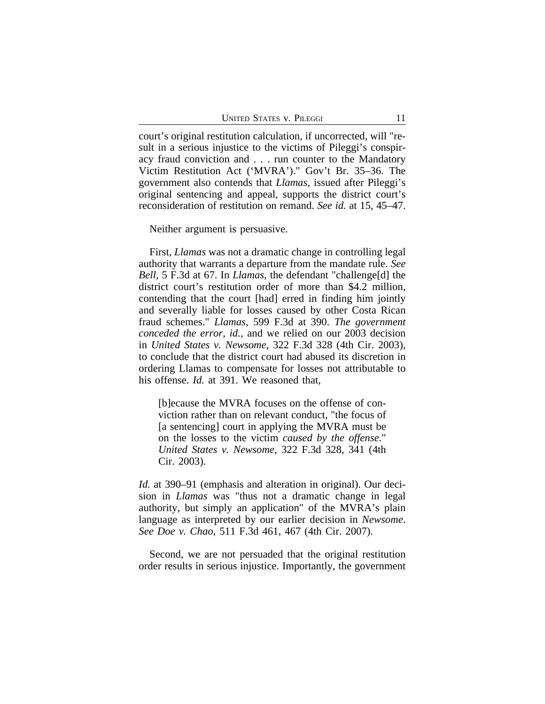court's original restitution calculation, if uncorrected, will "result in a serious injustice to the victims of Pileggi's conspiracy fraud conviction and . . . run counter to the Mandatory Victim Restitution Act ('MVRA')." Gov't Br. 35–36. The government also contends that *Llamas*, issued after Pileggi's original sentencing and appeal, supports the district court's reconsideration of restitution on remand. *See id.* at 15, 45–47.

Neither argument is persuasive.

First, *Llamas* was not a dramatic change in controlling legal authority that warrants a departure from the mandate rule. *See Bell*, 5 F.3d at 67. In *Llamas*, the defendant "challenge[d] the district court's restitution order of more than \$4.2 million, contending that the court [had] erred in finding him jointly and severally liable for losses caused by other Costa Rican fraud schemes." *Llamas*, 599 F.3d at 390. *The government conceded the error*, *id.*, and we relied on our 2003 decision in *United States v. Newsome*, 322 F.3d 328 (4th Cir. 2003), to conclude that the district court had abused its discretion in ordering Llamas to compensate for losses not attributable to his offense. *Id.* at 391. We reasoned that,

[b]ecause the MVRA focuses on the offense of conviction rather than on relevant conduct, "the focus of [a sentencing] court in applying the MVRA must be on the losses to the victim *caused by the offense*." *United States v. Newsome*, 322 F.3d 328, 341 (4th Cir. 2003).

*Id.* at 390–91 (emphasis and alteration in original). Our decision in *Llamas* was "thus not a dramatic change in legal authority, but simply an application" of the MVRA's plain language as interpreted by our earlier decision in *Newsome*. *See Doe v. Chao*, 511 F.3d 461, 467 (4th Cir. 2007).

Second, we are not persuaded that the original restitution order results in serious injustice. Importantly, the government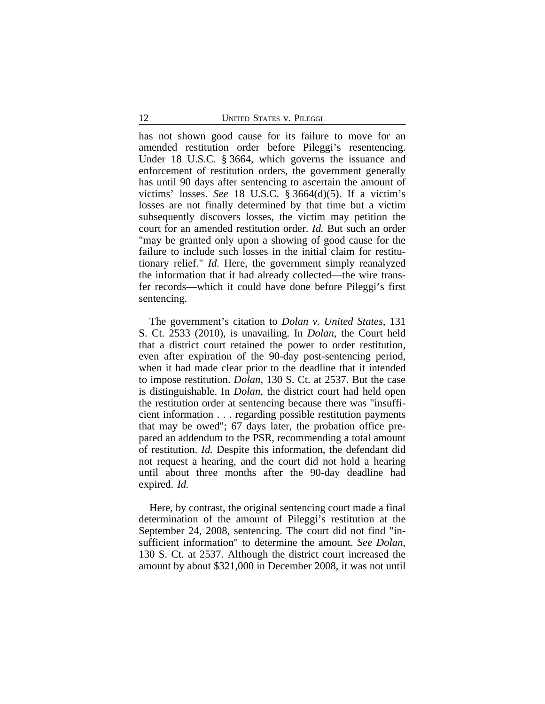has not shown good cause for its failure to move for an amended restitution order before Pileggi's resentencing. Under 18 U.S.C. § 3664, which governs the issuance and enforcement of restitution orders, the government generally has until 90 days after sentencing to ascertain the amount of victims' losses. *See* 18 U.S.C. § 3664(d)(5). If a victim's losses are not finally determined by that time but a victim subsequently discovers losses, the victim may petition the court for an amended restitution order. *Id.* But such an order "may be granted only upon a showing of good cause for the failure to include such losses in the initial claim for restitutionary relief." *Id.* Here, the government simply reanalyzed the information that it had already collected—the wire transfer records—which it could have done before Pileggi's first sentencing.

The government's citation to *Dolan v. United States*, 131 S. Ct. 2533 (2010), is unavailing. In *Dolan*, the Court held that a district court retained the power to order restitution, even after expiration of the 90-day post-sentencing period, when it had made clear prior to the deadline that it intended to impose restitution. *Dolan*, 130 S. Ct. at 2537. But the case is distinguishable. In *Dolan*, the district court had held open the restitution order at sentencing because there was "insufficient information . . . regarding possible restitution payments that may be owed"; 67 days later, the probation office prepared an addendum to the PSR, recommending a total amount of restitution. *Id.* Despite this information, the defendant did not request a hearing, and the court did not hold a hearing until about three months after the 90-day deadline had expired. *Id.*

Here, by contrast, the original sentencing court made a final determination of the amount of Pileggi's restitution at the September 24, 2008, sentencing. The court did not find "insufficient information" to determine the amount. *See Dolan*, 130 S. Ct. at 2537. Although the district court increased the amount by about \$321,000 in December 2008, it was not until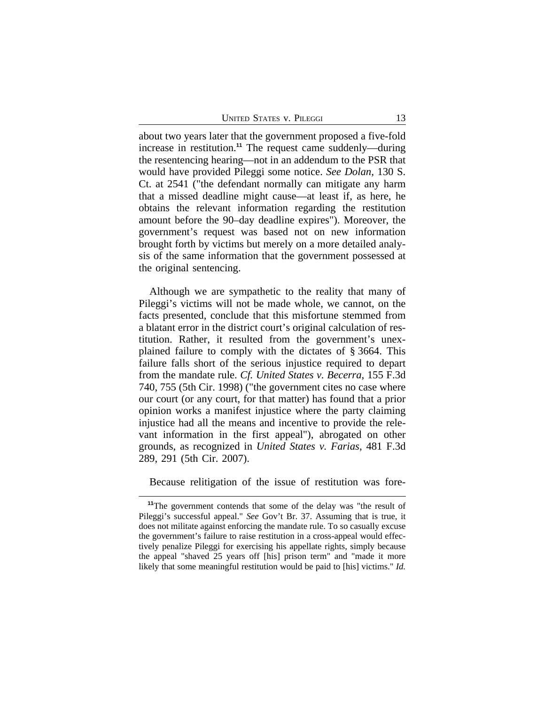about two years later that the government proposed a five-fold increase in restitution.**<sup>11</sup>** The request came suddenly—during the resentencing hearing—not in an addendum to the PSR that would have provided Pileggi some notice. *See Dolan*, 130 S. Ct. at 2541 ("the defendant normally can mitigate any harm that a missed deadline might cause—at least if, as here, he obtains the relevant information regarding the restitution amount before the 90–day deadline expires"). Moreover, the government's request was based not on new information brought forth by victims but merely on a more detailed analysis of the same information that the government possessed at the original sentencing.

Although we are sympathetic to the reality that many of Pileggi's victims will not be made whole, we cannot, on the facts presented, conclude that this misfortune stemmed from a blatant error in the district court's original calculation of restitution. Rather, it resulted from the government's unexplained failure to comply with the dictates of § 3664. This failure falls short of the serious injustice required to depart from the mandate rule. *Cf. United States v. Becerra*, 155 F.3d 740, 755 (5th Cir. 1998) ("the government cites no case where our court (or any court, for that matter) has found that a prior opinion works a manifest injustice where the party claiming injustice had all the means and incentive to provide the relevant information in the first appeal"), abrogated on other grounds, as recognized in *United States v. Farias*, 481 F.3d 289, 291 (5th Cir. 2007).

Because relitigation of the issue of restitution was fore-

**<sup>11</sup>**The government contends that some of the delay was "the result of Pileggi's successful appeal." *See* Gov't Br. 37. Assuming that is true, it does not militate against enforcing the mandate rule. To so casually excuse the government's failure to raise restitution in a cross-appeal would effectively penalize Pileggi for exercising his appellate rights, simply because the appeal "shaved 25 years off [his] prison term" and "made it more likely that some meaningful restitution would be paid to [his] victims." *Id.*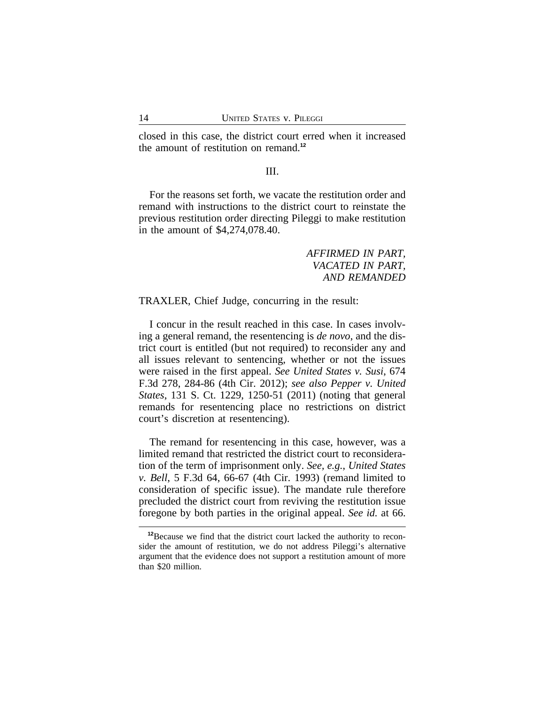closed in this case, the district court erred when it increased the amount of restitution on remand.**<sup>12</sup>**

### III.

For the reasons set forth, we vacate the restitution order and remand with instructions to the district court to reinstate the previous restitution order directing Pileggi to make restitution in the amount of \$4,274,078.40.

> *AFFIRMED IN PART, VACATED IN PART, AND REMANDED*

TRAXLER, Chief Judge, concurring in the result:

I concur in the result reached in this case. In cases involving a general remand, the resentencing is *de novo*, and the district court is entitled (but not required) to reconsider any and all issues relevant to sentencing, whether or not the issues were raised in the first appeal. *See United States v. Susi*, 674 F.3d 278, 284-86 (4th Cir. 2012); *see also Pepper v. United States*, 131 S. Ct. 1229, 1250-51 (2011) (noting that general remands for resentencing place no restrictions on district court's discretion at resentencing).

The remand for resentencing in this case, however, was a limited remand that restricted the district court to reconsideration of the term of imprisonment only. *See, e.g.*, *United States v. Bell*, 5 F.3d 64, 66-67 (4th Cir. 1993) (remand limited to consideration of specific issue). The mandate rule therefore precluded the district court from reviving the restitution issue foregone by both parties in the original appeal. *See id.* at 66.

**<sup>12</sup>**Because we find that the district court lacked the authority to reconsider the amount of restitution, we do not address Pileggi's alternative argument that the evidence does not support a restitution amount of more than \$20 million.